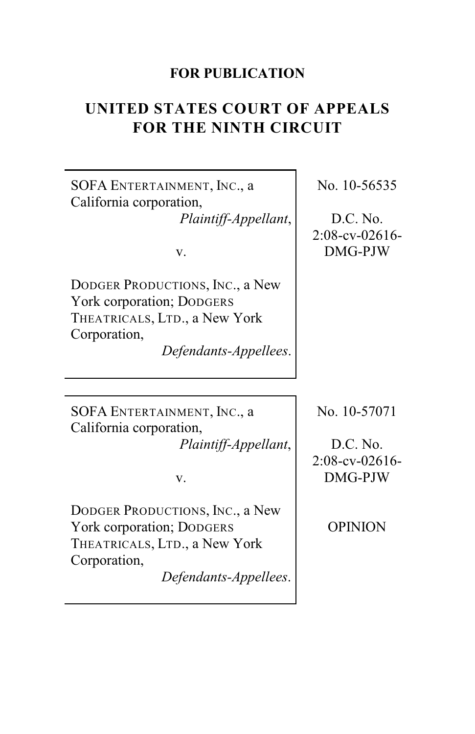## **FOR PUBLICATION**

# **UNITED STATES COURT OF APPEALS FOR THE NINTH CIRCUIT**

SOFA ENTERTAINMENT, INC., a California corporation, *Plaintiff-Appellant*,

v.

DODGER PRODUCTIONS, INC., a New York corporation; DODGERS THEATRICALS, LTD., a New York Corporation,

*Defendants-Appellees*.

No. 10-56535

D.C. No. 2:08-cv-02616- DMG-PJW

SOFA ENTERTAINMENT, INC., a California corporation, *Plaintiff-Appellant*,

v.

DODGER PRODUCTIONS, INC., a New York corporation; DODGERS THEATRICALS, LTD., a New York Corporation,

*Defendants-Appellees*.

No. 10-57071

D.C. No. 2:08-cv-02616- DMG-PJW

OPINION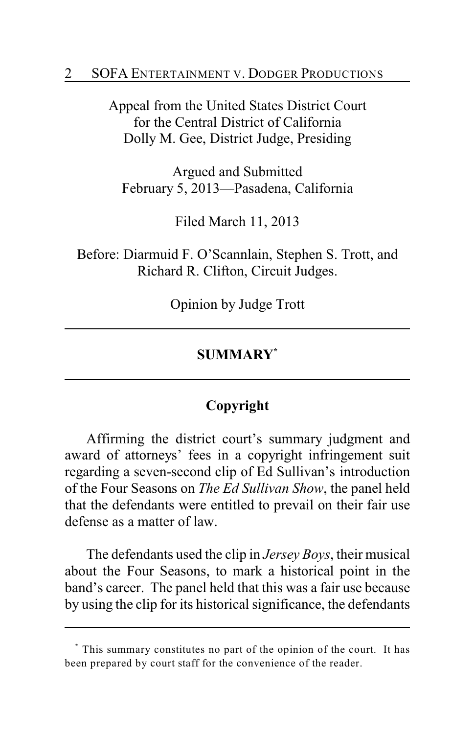#### 2 SOFA ENTERTAINMENT V. DODGER PRODUCTIONS

Appeal from the United States District Court for the Central District of California Dolly M. Gee, District Judge, Presiding

Argued and Submitted February 5, 2013—Pasadena, California

Filed March 11, 2013

Before: Diarmuid F. O'Scannlain, Stephen S. Trott, and Richard R. Clifton, Circuit Judges.

Opinion by Judge Trott

## **SUMMARY \***

## **Copyright**

Affirming the district court's summary judgment and award of attorneys' fees in a copyright infringement suit regarding a seven-second clip of Ed Sullivan's introduction of the Four Seasons on *The Ed Sullivan Show*, the panel held that the defendants were entitled to prevail on their fair use defense as a matter of law.

The defendants used the clip in *Jersey Boys*, their musical about the Four Seasons, to mark a historical point in the band's career. The panel held that this was a fair use because by using the clip for its historical significance, the defendants

This summary constitutes no part of the opinion of the court. It has **\*** been prepared by court staff for the convenience of the reader.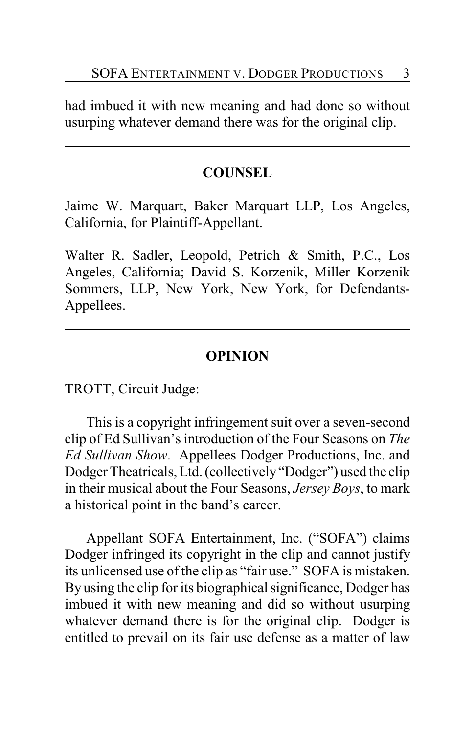had imbued it with new meaning and had done so without usurping whatever demand there was for the original clip.

## **COUNSEL**

Jaime W. Marquart, Baker Marquart LLP, Los Angeles, California, for Plaintiff-Appellant.

Walter R. Sadler, Leopold, Petrich & Smith, P.C., Los Angeles, California; David S. Korzenik, Miller Korzenik Sommers, LLP, New York, New York, for Defendants-Appellees.

## **OPINION**

TROTT, Circuit Judge:

This is a copyright infringement suit over a seven-second clip of Ed Sullivan's introduction of the Four Seasons on *The Ed Sullivan Show*. Appellees Dodger Productions, Inc. and Dodger Theatricals, Ltd. (collectively "Dodger") used the clip in their musical about the Four Seasons, *Jersey Boys*, to mark a historical point in the band's career.

Appellant SOFA Entertainment, Inc. ("SOFA") claims Dodger infringed its copyright in the clip and cannot justify its unlicensed use of the clip as "fair use." SOFA is mistaken. By using the clip for its biographical significance, Dodger has imbued it with new meaning and did so without usurping whatever demand there is for the original clip. Dodger is entitled to prevail on its fair use defense as a matter of law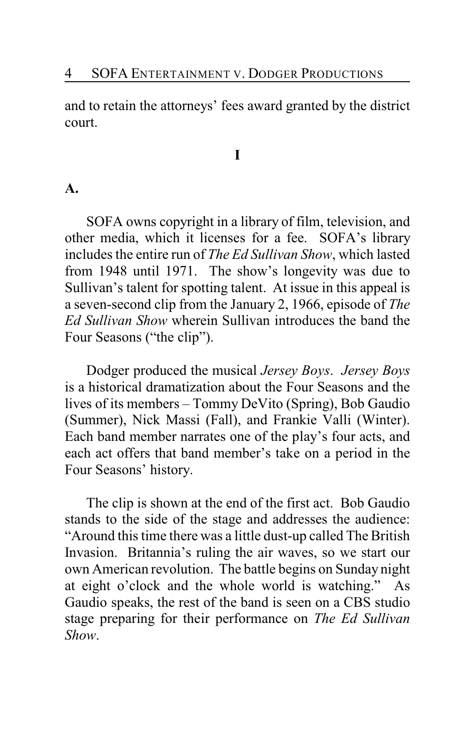and to retain the attorneys' fees award granted by the district court.

#### **I**

#### **A.**

SOFA owns copyright in a library of film, television, and other media, which it licenses for a fee. SOFA's library includes the entire run of *The Ed Sullivan Show*, which lasted from 1948 until 1971. The show's longevity was due to Sullivan's talent for spotting talent. At issue in this appeal is a seven-second clip from the January 2, 1966, episode of *The Ed Sullivan Show* wherein Sullivan introduces the band the Four Seasons ("the clip").

Dodger produced the musical *Jersey Boys*. *Jersey Boys* is a historical dramatization about the Four Seasons and the lives of its members – Tommy DeVito (Spring), Bob Gaudio (Summer), Nick Massi (Fall), and Frankie Valli (Winter). Each band member narrates one of the play's four acts, and each act offers that band member's take on a period in the Four Seasons' history.

The clip is shown at the end of the first act. Bob Gaudio stands to the side of the stage and addresses the audience: "Around this time there was a little dust-up called The British Invasion. Britannia's ruling the air waves, so we start our own American revolution. The battle begins on Sunday night at eight o'clock and the whole world is watching." As Gaudio speaks, the rest of the band is seen on a CBS studio stage preparing for their performance on *The Ed Sullivan Show*.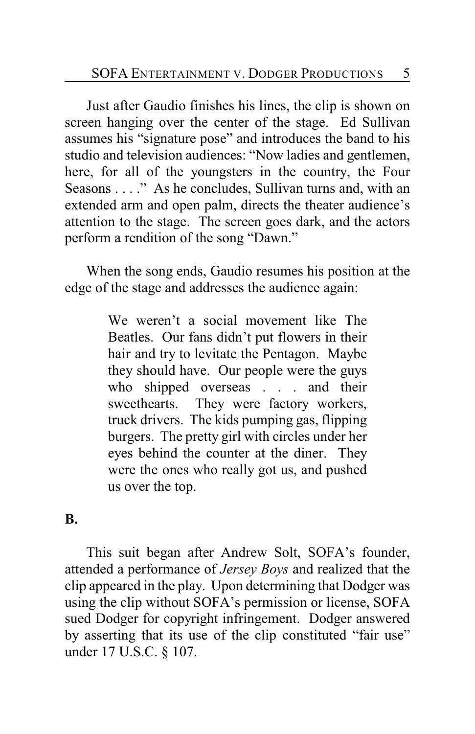Just after Gaudio finishes his lines, the clip is shown on screen hanging over the center of the stage. Ed Sullivan assumes his "signature pose" and introduces the band to his studio and television audiences: "Now ladies and gentlemen, here, for all of the youngsters in the country, the Four Seasons . . . ." As he concludes, Sullivan turns and, with an extended arm and open palm, directs the theater audience's attention to the stage. The screen goes dark, and the actors perform a rendition of the song "Dawn."

When the song ends, Gaudio resumes his position at the edge of the stage and addresses the audience again:

> We weren't a social movement like The Beatles. Our fans didn't put flowers in their hair and try to levitate the Pentagon. Maybe they should have. Our people were the guys who shipped overseas . . . and their sweethearts. They were factory workers, truck drivers. The kids pumping gas, flipping burgers. The pretty girl with circles under her eyes behind the counter at the diner. They were the ones who really got us, and pushed us over the top.

#### **B.**

This suit began after Andrew Solt, SOFA's founder, attended a performance of *Jersey Boys* and realized that the clip appeared in the play. Upon determining that Dodger was using the clip without SOFA's permission or license, SOFA sued Dodger for copyright infringement. Dodger answered by asserting that its use of the clip constituted "fair use" under 17 U.S.C. § 107.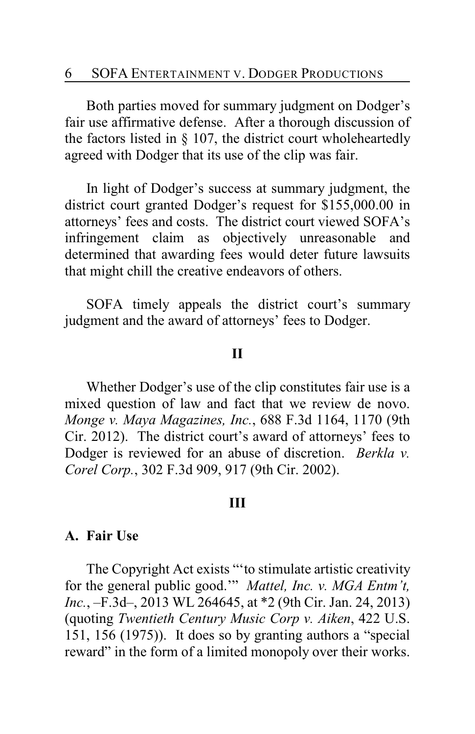Both parties moved for summary judgment on Dodger's fair use affirmative defense. After a thorough discussion of the factors listed in § 107, the district court wholeheartedly agreed with Dodger that its use of the clip was fair.

In light of Dodger's success at summary judgment, the district court granted Dodger's request for \$155,000.00 in attorneys' fees and costs. The district court viewed SOFA's infringement claim as objectively unreasonable and determined that awarding fees would deter future lawsuits that might chill the creative endeavors of others.

SOFA timely appeals the district court's summary judgment and the award of attorneys' fees to Dodger.

#### **II**

Whether Dodger's use of the clip constitutes fair use is a mixed question of law and fact that we review de novo. *Monge v. Maya Magazines, Inc.*, 688 F.3d 1164, 1170 (9th Cir. 2012). The district court's award of attorneys' fees to Dodger is reviewed for an abuse of discretion. *Berkla v. Corel Corp.*, 302 F.3d 909, 917 (9th Cir. 2002).

#### **III**

#### **A. Fair Use**

The Copyright Act exists "'to stimulate artistic creativity for the general public good.'" *Mattel, Inc. v. MGA Entm't, Inc.*, –F.3d–, 2013 WL 264645, at \*2 (9th Cir. Jan. 24, 2013) (quoting *Twentieth Century Music Corp v. Aiken*, 422 U.S. 151, 156 (1975)). It does so by granting authors a "special reward" in the form of a limited monopoly over their works.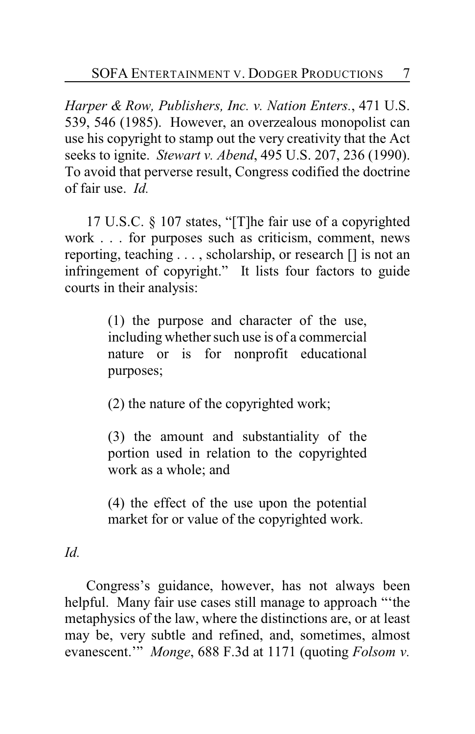*Harper & Row, Publishers, Inc. v. Nation Enters.*, 471 U.S. 539, 546 (1985). However, an overzealous monopolist can use his copyright to stamp out the very creativity that the Act seeks to ignite. *Stewart v. Abend*, 495 U.S. 207, 236 (1990). To avoid that perverse result, Congress codified the doctrine of fair use. *Id.*

17 U.S.C. § 107 states, "[T]he fair use of a copyrighted work . . . for purposes such as criticism, comment, news reporting, teaching . . . , scholarship, or research [] is not an infringement of copyright." It lists four factors to guide courts in their analysis:

> (1) the purpose and character of the use, including whether such use is of a commercial nature or is for nonprofit educational purposes;

(2) the nature of the copyrighted work;

(3) the amount and substantiality of the portion used in relation to the copyrighted work as a whole; and

(4) the effect of the use upon the potential market for or value of the copyrighted work.

*Id.*

Congress's guidance, however, has not always been helpful. Many fair use cases still manage to approach "'the metaphysics of the law, where the distinctions are, or at least may be, very subtle and refined, and, sometimes, almost evanescent.'" *Monge*, 688 F.3d at 1171 (quoting *Folsom v.*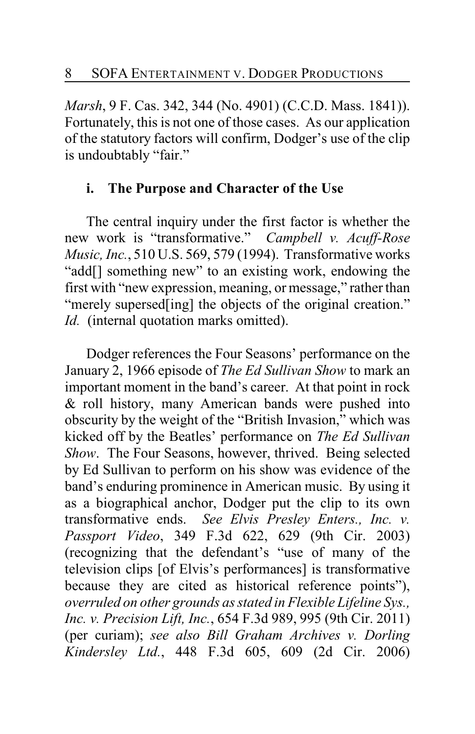*Marsh*, 9 F. Cas. 342, 344 (No. 4901) (C.C.D. Mass. 1841)). Fortunately, this is not one of those cases. As our application of the statutory factors will confirm, Dodger's use of the clip is undoubtably "fair."

## **i. The Purpose and Character of the Use**

The central inquiry under the first factor is whether the new work is "transformative." *Campbell v. Acuff-Rose Music, Inc.*, 510 U.S. 569, 579 (1994). Transformative works "add[] something new" to an existing work, endowing the first with "new expression, meaning, or message," rather than "merely supersed [ing] the objects of the original creation." *Id.* (internal quotation marks omitted).

Dodger references the Four Seasons' performance on the January 2, 1966 episode of *The Ed Sullivan Show* to mark an important moment in the band's career. At that point in rock & roll history, many American bands were pushed into obscurity by the weight of the "British Invasion," which was kicked off by the Beatles' performance on *The Ed Sullivan Show*. The Four Seasons, however, thrived. Being selected by Ed Sullivan to perform on his show was evidence of the band's enduring prominence in American music. By using it as a biographical anchor, Dodger put the clip to its own transformative ends. *See Elvis Presley Enters., Inc. v. Passport Video*, 349 F.3d 622, 629 (9th Cir. 2003) (recognizing that the defendant's "use of many of the television clips [of Elvis's performances] is transformative because they are cited as historical reference points"), *overruled on other grounds as stated in Flexible Lifeline Sys., Inc. v. Precision Lift, Inc.*, 654 F.3d 989, 995 (9th Cir. 2011) (per curiam); *see also Bill Graham Archives v. Dorling Kindersley Ltd.*, 448 F.3d 605, 609 (2d Cir. 2006)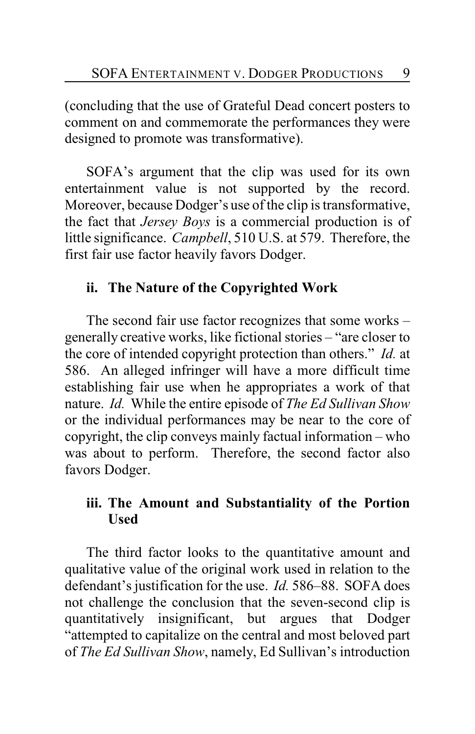(concluding that the use of Grateful Dead concert posters to comment on and commemorate the performances they were designed to promote was transformative).

SOFA's argument that the clip was used for its own entertainment value is not supported by the record. Moreover, because Dodger's use of the clip is transformative, the fact that *Jersey Boys* is a commercial production is of little significance. *Campbell*, 510 U.S. at 579. Therefore, the first fair use factor heavily favors Dodger.

## **ii. The Nature of the Copyrighted Work**

The second fair use factor recognizes that some works – generally creative works, like fictional stories – "are closer to the core of intended copyright protection than others." *Id.* at 586. An alleged infringer will have a more difficult time establishing fair use when he appropriates a work of that nature. *Id.* While the entire episode of *The Ed Sullivan Show* or the individual performances may be near to the core of copyright, the clip conveys mainly factual information – who was about to perform. Therefore, the second factor also favors Dodger.

## **iii. The Amount and Substantiality of the Portion Used**

The third factor looks to the quantitative amount and qualitative value of the original work used in relation to the defendant's justification for the use. *Id.* 586–88. SOFA does not challenge the conclusion that the seven-second clip is quantitatively insignificant, but argues that Dodger "attempted to capitalize on the central and most beloved part of *The Ed Sullivan Show*, namely, Ed Sullivan's introduction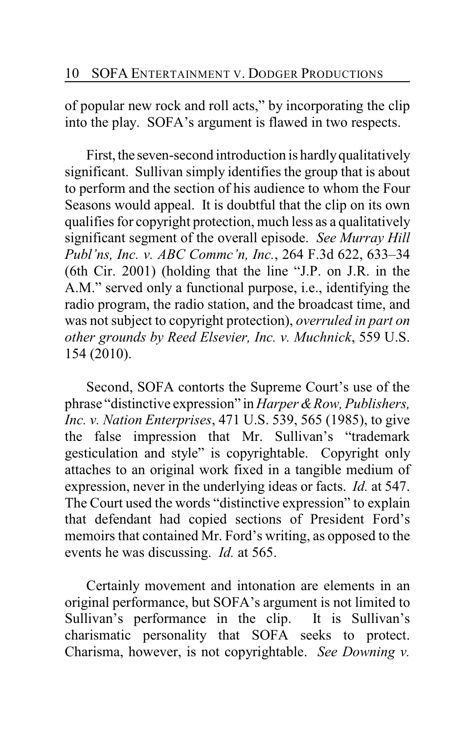of popular new rock and roll acts," by incorporating the clip into the play. SOFA's argument is flawed in two respects.

First, the seven-second introduction is hardly qualitatively significant. Sullivan simply identifies the group that is about to perform and the section of his audience to whom the Four Seasons would appeal. It is doubtful that the clip on its own qualifies for copyright protection, much less as a qualitatively significant segment of the overall episode. *See Murray Hill Publ'ns, Inc. v. ABC Commc'n, Inc.*, 264 F.3d 622, 633–34 (6th Cir. 2001) (holding that the line "J.P. on J.R. in the A.M." served only a functional purpose, i.e., identifying the radio program, the radio station, and the broadcast time, and was not subject to copyright protection), *overruled in part on other grounds by Reed Elsevier, Inc. v. Muchnick*, 559 U.S. 154 (2010).

Second, SOFA contorts the Supreme Court's use of the phrase "distinctive expression" in *Harper & Row, Publishers, Inc. v. Nation Enterprises*, 471 U.S. 539, 565 (1985), to give the false impression that Mr. Sullivan's "trademark gesticulation and style" is copyrightable. Copyright only attaches to an original work fixed in a tangible medium of expression, never in the underlying ideas or facts. *Id.* at 547. The Court used the words "distinctive expression" to explain that defendant had copied sections of President Ford's memoirs that contained Mr. Ford's writing, as opposed to the events he was discussing. *Id.* at 565.

Certainly movement and intonation are elements in an original performance, but SOFA's argument is not limited to Sullivan's performance in the clip. It is Sullivan's charismatic personality that SOFA seeks to protect. Charisma, however, is not copyrightable. *See Downing v.*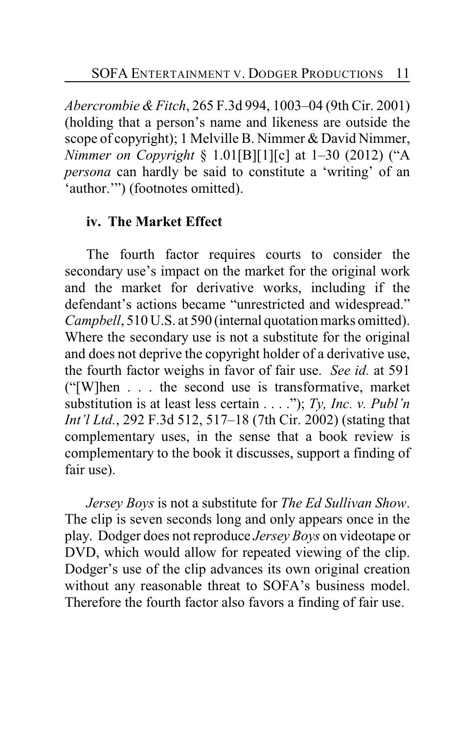*Abercrombie & Fitch*, 265 F.3d 994, 1003–04 (9th Cir. 2001) (holding that a person's name and likeness are outside the scope of copyright); 1 Melville B. Nimmer & David Nimmer, *Nimmer on Copyright* § 1.01[B][1][c] at 1–30 (2012) ("A *persona* can hardly be said to constitute a 'writing' of an 'author.'") (footnotes omitted).

## **iv. The Market Effect**

The fourth factor requires courts to consider the secondary use's impact on the market for the original work and the market for derivative works, including if the defendant's actions became "unrestricted and widespread." *Campbell*, 510 U.S. at 590 (internal quotation marks omitted). Where the secondary use is not a substitute for the original and does not deprive the copyright holder of a derivative use, the fourth factor weighs in favor of fair use. *See id.* at 591 ("[W]hen . . . the second use is transformative, market substitution is at least less certain . . . ."); *Ty, Inc. v. Publ'n Int'l Ltd.*, 292 F.3d 512, 517–18 (7th Cir. 2002) (stating that complementary uses, in the sense that a book review is complementary to the book it discusses, support a finding of fair use).

*Jersey Boys* is not a substitute for *The Ed Sullivan Show*. The clip is seven seconds long and only appears once in the play. Dodger does not reproduce *Jersey Boys* on videotape or DVD, which would allow for repeated viewing of the clip. Dodger's use of the clip advances its own original creation without any reasonable threat to SOFA's business model. Therefore the fourth factor also favors a finding of fair use.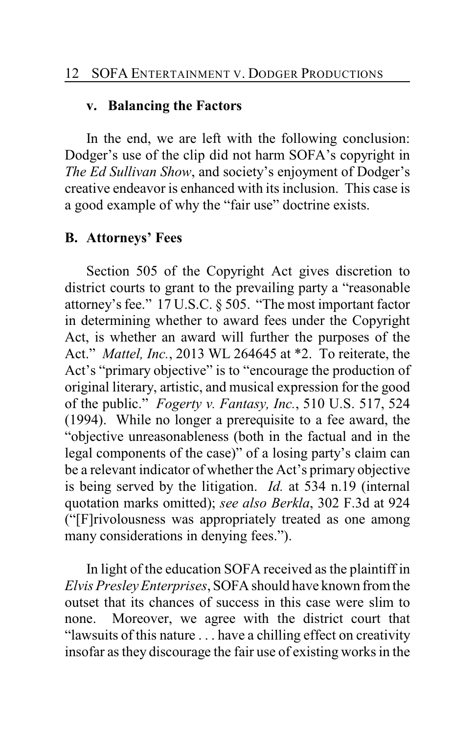## **v. Balancing the Factors**

In the end, we are left with the following conclusion: Dodger's use of the clip did not harm SOFA's copyright in *The Ed Sullivan Show*, and society's enjoyment of Dodger's creative endeavor is enhanced with its inclusion. This case is a good example of why the "fair use" doctrine exists.

## **B. Attorneys' Fees**

Section 505 of the Copyright Act gives discretion to district courts to grant to the prevailing party a "reasonable attorney's fee." 17 U.S.C. § 505. "The most important factor in determining whether to award fees under the Copyright Act, is whether an award will further the purposes of the Act." *Mattel, Inc.*, 2013 WL 264645 at \*2. To reiterate, the Act's "primary objective" is to "encourage the production of original literary, artistic, and musical expression for the good of the public." *Fogerty v. Fantasy, Inc.*, 510 U.S. 517, 524 (1994). While no longer a prerequisite to a fee award, the "objective unreasonableness (both in the factual and in the legal components of the case)" of a losing party's claim can be a relevant indicator of whether the Act's primary objective is being served by the litigation. *Id.* at 534 n.19 (internal quotation marks omitted); *see also Berkla*, 302 F.3d at 924 ("[F]rivolousness was appropriately treated as one among many considerations in denying fees.").

In light of the education SOFA received as the plaintiff in *Elvis Presley Enterprises*, SOFA should have known from the outset that its chances of success in this case were slim to none. Moreover, we agree with the district court that "lawsuits of this nature . . . have a chilling effect on creativity insofar as they discourage the fair use of existing works in the